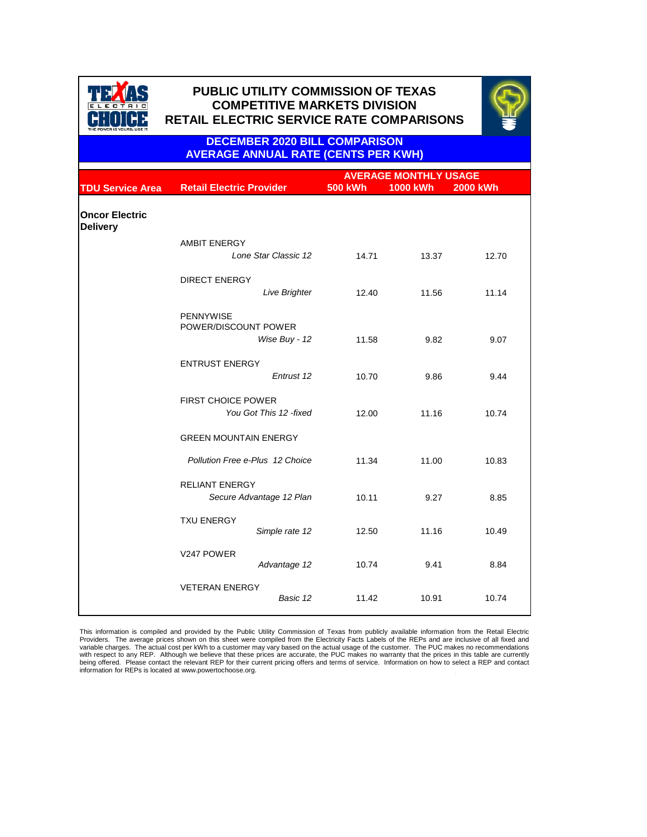|                                          |                                                     |                | <b>AVERAGE MONTHLY USAGE</b> |                 |  |
|------------------------------------------|-----------------------------------------------------|----------------|------------------------------|-----------------|--|
| <b>TDU Service Area</b>                  | <b>Retail Electric Provider</b>                     | <b>500 kWh</b> | <b>1000 kWh</b>              | <b>2000 kWh</b> |  |
|                                          |                                                     |                |                              |                 |  |
| <b>Oncor Electric</b><br><b>Delivery</b> |                                                     |                |                              |                 |  |
|                                          | <b>AMBIT ENERGY</b>                                 |                |                              |                 |  |
|                                          | Lone Star Classic 12                                | 14.71          | 13.37                        | 12.70           |  |
|                                          | <b>DIRECT ENERGY</b>                                |                |                              |                 |  |
|                                          | Live Brighter                                       | 12.40          | 11.56                        | 11.14           |  |
|                                          | <b>PENNYWISE</b><br>POWER/DISCOUNT POWER            |                |                              |                 |  |
|                                          | Wise Buy - 12                                       | 11.58          | 9.82                         | 9.07            |  |
|                                          | <b>ENTRUST ENERGY</b>                               |                |                              |                 |  |
|                                          | Entrust 12                                          | 10.70          | 9.86                         | 9.44            |  |
|                                          | <b>FIRST CHOICE POWER</b><br>You Got This 12 -fixed | 12.00          | 11.16                        | 10.74           |  |
|                                          |                                                     |                |                              |                 |  |
|                                          | <b>GREEN MOUNTAIN ENERGY</b>                        |                |                              |                 |  |
|                                          | <b>Pollution Free e-Plus 12 Choice</b>              | 11.34          | 11.00                        | 10.83           |  |
|                                          | <b>RELIANT ENERGY</b>                               |                |                              |                 |  |
|                                          | Secure Advantage 12 Plan                            | 10.11          | 9.27                         | 8.85            |  |
|                                          | <b>TXU ENERGY</b>                                   |                |                              |                 |  |
|                                          | Simple rate 12                                      | 12.50          | 11.16                        | 10.49           |  |

| V247 POWER            | Advantage 12 | 10.74 | 9.41  | 8.84  |
|-----------------------|--------------|-------|-------|-------|
| <b>VETERAN ENERGY</b> | Basic 12     | 11.42 | 10.91 | 10.74 |



# **PUBLIC UTILITY COMMISSION OF TEXAS PUBLIC UTILITY COMMISSION OF TEXAS COMPETITIVE MARKETS DIVISION COMPETITIVE MARKETS DIVISION RETAIL ELECTRIC SERVICE RATE COMPARISONS RETAIL ELECTRIC SERVICE RATE COMPARISONS**



. This information is compiled and provided by the Public Utility Commission of Texas from publicly available information from the Retail Electric Providers. The average prices shown on this sheet were compiled from the Electricity Facts Labels of the REPs and are inclusive of all fixed and variable charges. The actual cost per kWh to a customer may vary based on the actual usage of the customer. The PUC makes no recommendations with respect to any REP. Although we believe that these prices are accurate, the PUC makes no warranty that the prices in this table are currently being offered. Please contact the relevant REP for their current pricing offers and terms of service. Information on how to select a REP and contact information for REPs is located at www.powertochoose.org.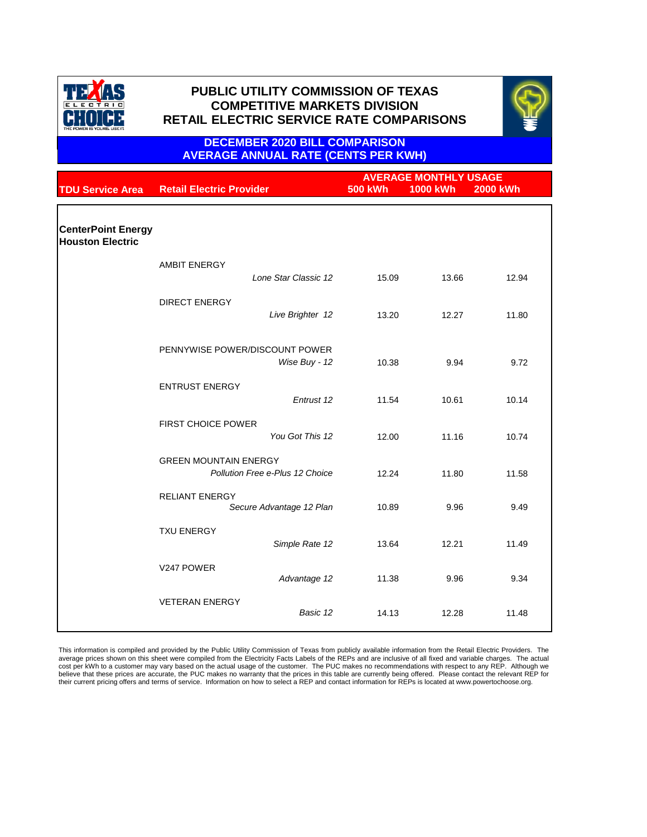|                                                      |                                                   | <b>AVERAGE MONTHLY USAGE</b> |                 |                 |
|------------------------------------------------------|---------------------------------------------------|------------------------------|-----------------|-----------------|
| <b>TDU Service Area</b>                              | <b>Retail Electric Provider</b>                   | <b>500 kWh</b>               | <b>1000 kWh</b> | <b>2000 kWh</b> |
|                                                      |                                                   |                              |                 |                 |
| <b>CenterPoint Energy</b><br><b>Houston Electric</b> |                                                   |                              |                 |                 |
|                                                      | <b>AMBIT ENERGY</b>                               |                              |                 |                 |
|                                                      | Lone Star Classic 12                              | 15.09                        | 13.66           | 12.94           |
|                                                      | <b>DIRECT ENERGY</b>                              |                              |                 |                 |
|                                                      | Live Brighter 12                                  | 13.20                        | 12.27           | 11.80           |
|                                                      | PENNYWISE POWER/DISCOUNT POWER                    |                              |                 |                 |
|                                                      | Wise Buy - 12                                     | 10.38                        | 9.94            | 9.72            |
|                                                      | <b>ENTRUST ENERGY</b>                             |                              |                 |                 |
|                                                      | Entrust 12                                        | 11.54                        | 10.61           | 10.14           |
|                                                      | <b>FIRST CHOICE POWER</b>                         |                              |                 |                 |
|                                                      | You Got This 12                                   | 12.00                        | 11.16           | 10.74           |
|                                                      | <b>GREEN MOUNTAIN ENERGY</b>                      |                              |                 |                 |
|                                                      | <b>Pollution Free e-Plus 12 Choice</b>            | 12.24                        | 11.80           | 11.58           |
|                                                      | <b>RELIANT ENERGY</b><br>Secure Advantage 12 Plan | 10.89                        | 9.96            | 9.49            |
|                                                      | <b>TXU ENERGY</b>                                 |                              |                 |                 |
|                                                      | Simple Rate 12                                    | 13.64                        | 12.21           | 11.49           |

| V247 POWER            | Advantage 12 | 11.38 | 9.96  | 9.34  |
|-----------------------|--------------|-------|-------|-------|
| <b>VETERAN ENERGY</b> | Basic 12     | 14.13 | 12.28 | 11.48 |

This information is compiled and provided by the Public Utility Commission of Texas from publicly available information from the Retail Electric Providers. The average prices shown on this sheet were compiled from the Electricity Facts Labels of the REPs and are inclusive of all fixed and variable charges. The actual cost per kWh to a customer may vary based on the actual usage of the customer. The PUC makes no recommendations with respect to any REP. Although we believe that these prices are accurate, the PUC makes no warranty that the prices in this table are currently being offered. Please contact the relevant REP for their current pricing offers and terms of service. Information on how to select a REP and contact information for REPs is located at www.powertochoose.org.



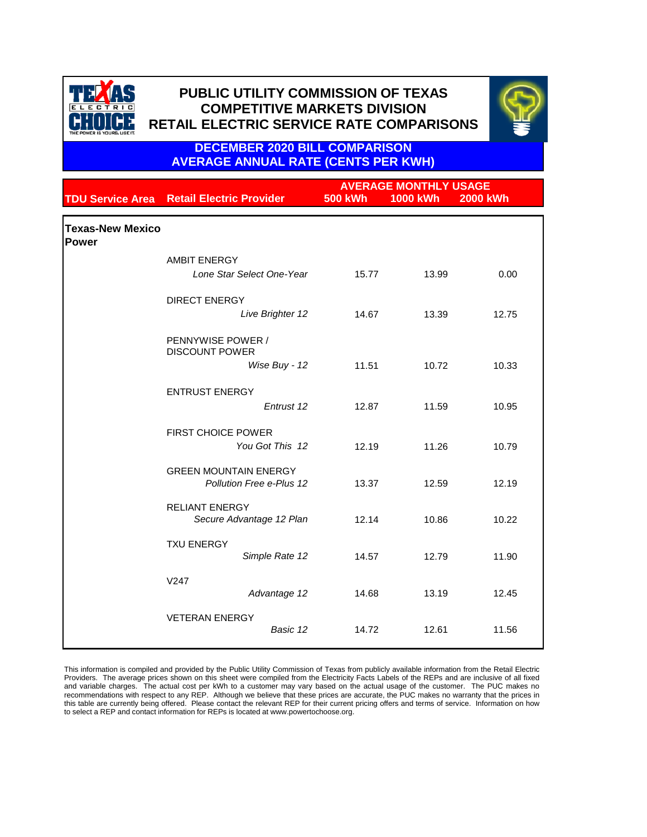|                                         |                                                                 | <b>AVERAGE MONTHLY USAGE</b> |                 |                 |  |
|-----------------------------------------|-----------------------------------------------------------------|------------------------------|-----------------|-----------------|--|
|                                         | <b>TDU Service Area Retail Electric Provider</b>                | <b>500 kWh</b>               | <b>1000 kWh</b> | <b>2000 kWh</b> |  |
| <b>Texas-New Mexico</b><br><b>Power</b> |                                                                 |                              |                 |                 |  |
|                                         | <b>AMBIT ENERGY</b>                                             |                              |                 |                 |  |
|                                         | Lone Star Select One-Year                                       | 15.77                        | 13.99           | 0.00            |  |
|                                         | <b>DIRECT ENERGY</b>                                            |                              |                 |                 |  |
|                                         | Live Brighter 12                                                | 14.67                        | 13.39           | 12.75           |  |
|                                         | PENNYWISE POWER /<br><b>DISCOUNT POWER</b>                      |                              |                 |                 |  |
|                                         | Wise Buy - 12                                                   | 11.51                        | 10.72           | 10.33           |  |
|                                         | <b>ENTRUST ENERGY</b>                                           |                              |                 |                 |  |
|                                         | Entrust 12                                                      | 12.87                        | 11.59           | 10.95           |  |
|                                         | <b>FIRST CHOICE POWER</b><br>You Got This 12                    | 12.19                        | 11.26           | 10.79           |  |
|                                         | <b>GREEN MOUNTAIN ENERGY</b><br><b>Pollution Free e-Plus 12</b> | 13.37                        | 12.59           | 12.19           |  |
|                                         | <b>RELIANT ENERGY</b><br>Secure Advantage 12 Plan               | 12.14                        | 10.86           | 10.22           |  |
|                                         | <b>TXU ENERGY</b><br>Simple Rate 12                             | 14.57                        | 12.79           | 11.90           |  |
|                                         | V247<br>Advantage 12                                            | 14.68                        | 13.19           | 12.45           |  |

| <b>VETERAN ENERGY</b> |          |       |       |       |  |
|-----------------------|----------|-------|-------|-------|--|
|                       | Basic 12 | 14.72 | 12.61 | 11.56 |  |
|                       |          |       |       |       |  |

This information is compiled and provided by the Public Utility Commission of Texas from publicly available information from the Retail Electric Providers. The average prices shown on this sheet were compiled from the Electricity Facts Labels of the REPs and are inclusive of all fixed and variable charges. The actual cost per kWh to a customer may vary based on the actual usage of the customer. The PUC makes no recommendations with respect to any REP. Although we believe that these prices are accurate, the PUC makes no warranty that the prices in this table are currently being offered. Please contact the relevant REP for their current pricing offers and terms of service. Information on how to select a REP and contact information for REPs is located at www.powertochoose.org.



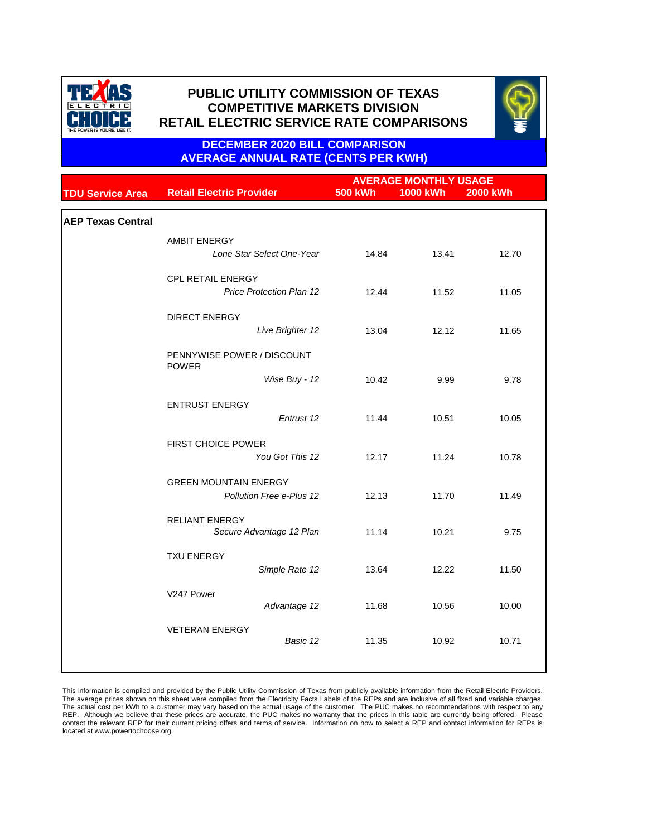|                          |                                            | <b>AVERAGE MONTHLY USAGE</b> |                 |          |
|--------------------------|--------------------------------------------|------------------------------|-----------------|----------|
| <b>TDU Service Area</b>  | <b>Retail Electric Provider</b>            | <b>500 kWh</b>               | <b>1000 kWh</b> | 2000 kWh |
|                          |                                            |                              |                 |          |
| <b>AEP Texas Central</b> |                                            |                              |                 |          |
|                          | <b>AMBIT ENERGY</b>                        |                              |                 |          |
|                          | Lone Star Select One-Year                  | 14.84                        | 13.41           | 12.70    |
|                          | <b>CPL RETAIL ENERGY</b>                   |                              |                 |          |
|                          | <b>Price Protection Plan 12</b>            | 12.44                        | 11.52           | 11.05    |
|                          | <b>DIRECT ENERGY</b>                       |                              |                 |          |
|                          | Live Brighter 12                           | 13.04                        | 12.12           | 11.65    |
|                          | PENNYWISE POWER / DISCOUNT<br><b>POWER</b> |                              |                 |          |
|                          | Wise Buy - 12                              | 10.42                        | 9.99            | 9.78     |
|                          | <b>ENTRUST ENERGY</b>                      |                              |                 |          |
|                          | Entrust 12                                 | 11.44                        | 10.51           | 10.05    |
|                          | <b>FIRST CHOICE POWER</b>                  |                              |                 |          |
|                          | You Got This 12                            | 12.17                        | 11.24           | 10.78    |
|                          | <b>GREEN MOUNTAIN ENERGY</b>               |                              |                 |          |
|                          | <b>Pollution Free e-Plus 12</b>            | 12.13                        | 11.70           | 11.49    |
|                          | <b>RELIANT ENERGY</b>                      |                              |                 |          |
|                          | Secure Advantage 12 Plan                   | 11.14                        | 10.21           | 9.75     |
|                          | <b>TXU ENERGY</b>                          |                              |                 |          |
|                          | Simple Rate 12                             | 13.64                        | 12.22           | 11.50    |
|                          | V247 Power                                 |                              |                 |          |
|                          | Advantage 12                               | 11.68                        | 10.56           | 10.00    |
|                          | <b>VETERAN ENERGY</b>                      |                              |                 |          |
|                          | Basic 12                                   | 11.35                        | 10.92           | 10.71    |
|                          |                                            |                              |                 |          |

This information is compiled and provided by the Public Utility Commission of Texas from publicly available information from the Retail Electric Providers. The average prices shown on this sheet were compiled from the Electricity Facts Labels of the REPs and are inclusive of all fixed and variable charges. The actual cost per kWh to a customer may vary based on the actual usage of the customer. The PUC makes no recommendations with respect to any REP. Although we believe that these prices are accurate, the PUC makes no warranty that the prices in this table are currently being offered. Please contact the relevant REP for their current pricing offers and terms of service. Information on how to select a REP and contact information for REPs is located at www.powertochoose.org.